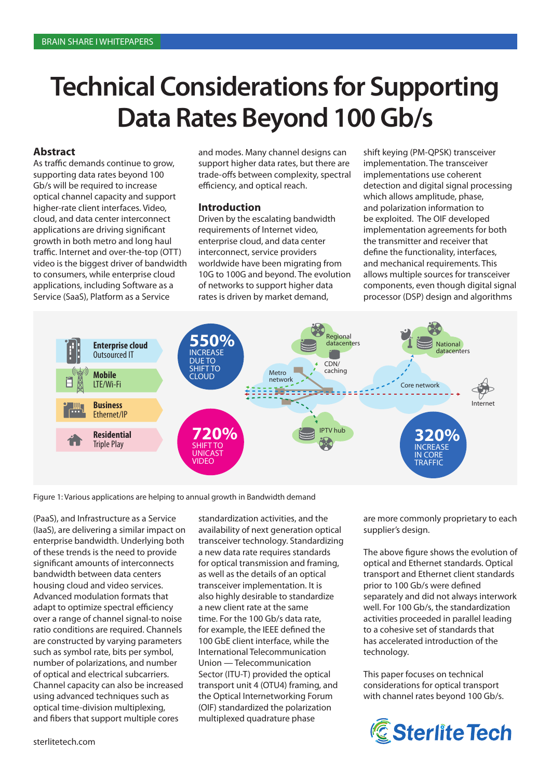# **Technical Considerations for Supporting Data Rates Beyond 100 Gb/s**

## **Abstract**

As traffic demands continue to grow, supporting data rates beyond 100 Gb/s will be required to increase optical channel capacity and support higher-rate client interfaces. Video, cloud, and data center interconnect applications are driving significant growth in both metro and long haul traffic. Internet and over-the-top (OTT) video is the biggest driver of bandwidth to consumers, while enterprise cloud applications, including Software as a Service (SaaS), Platform as a Service

and modes. Many channel designs can support higher data rates, but there are trade-offs between complexity, spectral efficiency, and optical reach.

### **Introduction**

Driven by the escalating bandwidth requirements of Internet video, enterprise cloud, and data center interconnect, service providers worldwide have been migrating from 10G to 100G and beyond. The evolution of networks to support higher data rates is driven by market demand,

shift keying (PM-QPSK) transceiver implementation. The transceiver implementations use coherent detection and digital signal processing which allows amplitude, phase, and polarization information to be exploited. The OIF developed implementation agreements for both the transmitter and receiver that define the functionality, interfaces, and mechanical requirements. This allows multiple sources for transceiver components, even though digital signal processor (DSP) design and algorithms



Figure 1: Various applications are helping to annual growth in Bandwidth demand

ratio conditions are required. Channels (laaS), are delivering a similar impact on d<br>ts of optical and electrical subcarriers. **coh. / noncoh. Bits/symbol** Channel capacity can also be increased **Symbol Rate (Gbd)** using advanced techniques such as **Constellation** optical time-division multiplexing, (PaaS), and Infrastructure as a Service enterprise bandwidth. Underlying both of these trends is the need to provide significant amounts of interconnects bandwidth between data centers housing cloud and video services. Advanced modulation formats that adapt to optimize spectral efficiency over a range of channel signal-to noise are constructed by varying parameters such as symbol rate, bits per symbol, number of polarizations, and number and fibers that support multiple cores

100 GbE client interface, while the a new client rate at the same mander of impressive to standardize as well as the details of an optical transceiver technology. Standardizing **ethernet** transceiver implementation. It is ar u c a new data rate requires standards ,,,, for optical transmission and framing, standardization activities, and the for example, the IEEE defined the availability of next generation optical **Sector (ITU-T) provided the optical** noncoh.  $\frac{1}{2}$  trainsport unit +  $\frac{1}{2}$   $\frac{1}{2}$   $\frac{1}{2}$   $\frac{1}{2}$   $\frac{1}{2}$   $\frac{1}{2}$   $\frac{1}{2}$   $\frac{1}{2}$   $\frac{1}{2}$   $\frac{1}{2}$   $\frac{1}{2}$   $\frac{1}{2}$   $\frac{1}{2}$   $\frac{1}{2}$   $\frac{1}{2}$   $\frac{1}{2}$   $\frac{1}{2}$   $\frac{1}{2}$   $\frac{1}{2}$   $\frac$ the Optical Internetworking Forum buith c transport unit 4 (OTU4) framing, and consid time. For the 100 Gb/s data rate, International Telecommunication Union — Telecommunication (OIF) standardized the polarization multiplexed quadrature phase

are more commonly proprietary to each supplier's design.

The above figure shows the evolution of optical and Ethernet standards. Optical transport and Ethernet client standards prior to 100 Gb/s were defined separately and did not always interwork well. For 100 Gb/s, the standardization activities proceeded in parallel leading to a cohesive set of standards that has accelerated introduction of the technology.

**Proxilled Proxilled Proxilled Proxilled Proxilled Proxilled Proxilled Proxilled Proxilled Proxilled Proxilled Proxilled Proxilled Proxilled Proxilled Proxilled Proxilled Proxilled Proxi** considerations for optical transport with channel rates beyond 100 Gb/s.

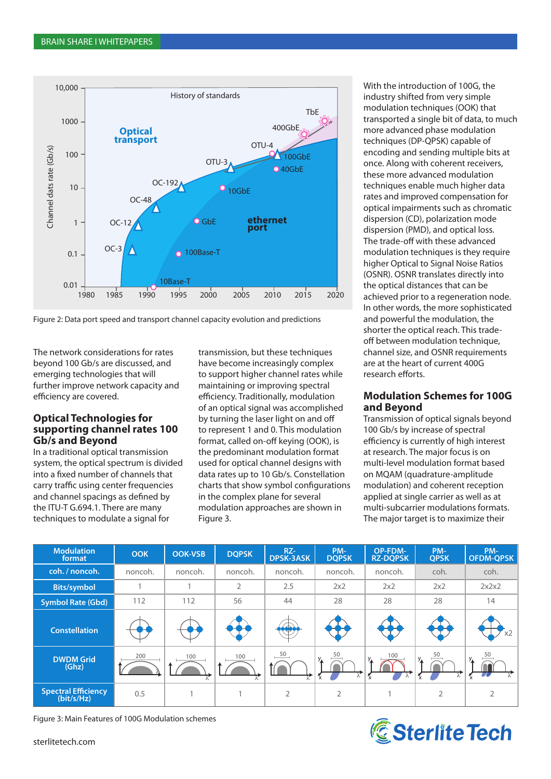

.<br>Figure 2: Data port speed and transport channel capacity evolution and predictions

**The network considerations for rates transmis formation considerations for faces coh. / noncoh.** noncoh. emerging technologies that will further improve network capacity and **Symbol Rate (Gbd)** efficiency are covered. Channel<br>Channel<br>Channel<br>Col

## **Optical Technologies for** supporting channel rates 100 **Gb/s and Beyond** 0.1

200 100 **DWDM Grid (Ghz)** In a traditional optical transmission system, the optical spectrum is divided into a fixed number of channels that<br>carry traffic using center frequencies into a fixed number of channels that and channel spacings as defined by the ITU-T G.694.1. There are many techniques to modulate a signal for

format, called on-off keying (OOK), is used for optical channel designs with y the predominant modulation format not give that the complete the complete channel rates these constants of the complete the constant of the constr<br>e network capacity and maintaining or improving spectral 112 112 56 44 28 28 28 14 efficiency. Traditionally, modulation that will to support higher channel rates while research effort **DRAMESSION, SAY INSPECTED INCREASE** transmission, but these techniques nnels that data rates up to 10 Gb/s. Constellation on MQAM ( emerciney: maantienally, mediation.<br>of an optical signal was accomplished or an optical signal was accomplishe<br>by turning the laser light on and off to represent 1 and 0. This modulation charts that show symbol configurations modulation) an in the complex plane for several modulation approaches are shown in Figure 3.

**PM-PM-**40GbE channel size, and OSNR requirements **QPSK OFDM-QPSK** are at the heart of current 400G de achieved prior to a regeneration node. shorter the optical reach. This tradethe optical distances that can be modulation techniques (OOK) that With the introduction of 100G, the industry shifted from very simple transported a single bit of data, to much more advanced phase modulation techniques (DP-QPSK) capable of encoding and sending multiple bits at once. Along with coherent receivers, these more advanced modulation techniques enable much higher data rates and improved compensation for optical impairments such as chromatic dispersion (CD), polarization mode dispersion (PMD), and optical loss. The trade-off with these advanced modulation techniques is they require higher Optical to Signal Noise Ratios (OSNR). OSNR translates directly into In other words, the more sophisticated and powerful the modulation, the off between modulation technique, research efforts.

## **Modulation Schemes for 100G and Beyond**

n multi-level modulation format based efficiency is currently of high interest x2 100 Gb/s by increase of spectral Transmission of optical signals beyond at research. The major focus is on on MQAM (quadrature-amplitude modulation) and coherent reception applied at single carrier as well as at multi-subcarrier modulations formats. The major target is to maximize their

| <b>Modulation</b><br>format              | <b>OOK</b> | <b>OOK-VSB</b> | <b>DQPSK</b>   | $RZ-$<br><b>DPSK-3ASK</b> | PM-<br><b>DOPSK</b> | OP-FDM-<br><b>RZ-DQPSK</b> | PM-<br><b>QPSK</b>      | PM-<br><b>OFDM-QPSK</b>    |
|------------------------------------------|------------|----------------|----------------|---------------------------|---------------------|----------------------------|-------------------------|----------------------------|
| coh. / noncoh.                           | noncoh.    | noncoh.        | noncoh.        | noncoh.                   | noncoh.             | noncoh.                    | coh.                    | coh.                       |
| <b>Bits/symbol</b>                       |            |                | $\overline{2}$ | 2.5                       | 2x2                 | 2x2                        | 2x2                     | 2x2x2                      |
| <b>Symbol Rate (Gbd)</b>                 | 112        | 112            | 56             | 44                        | 28                  | 28                         | 28                      | 14                         |
| <b>Constellation</b>                     |            |                |                |                           |                     |                            |                         | x2                         |
| <b>DWDM Grid</b><br>(Ghz)                | 200        | 100            | 100            | 50                        | 50                  | 100                        | 50<br>$\mathbf{v}$<br>Λ | 50<br>$\tilde{\mathbf{x}}$ |
| <b>Spectral Efficiency</b><br>(bit/s/Hz) | 0.5        |                |                | $\overline{2}$            | $\overline{2}$      |                            | $\overline{2}$          | $\overline{2}$             |

Figure 3: Main Features of 100G Modulation schemes

sterlitetech.com

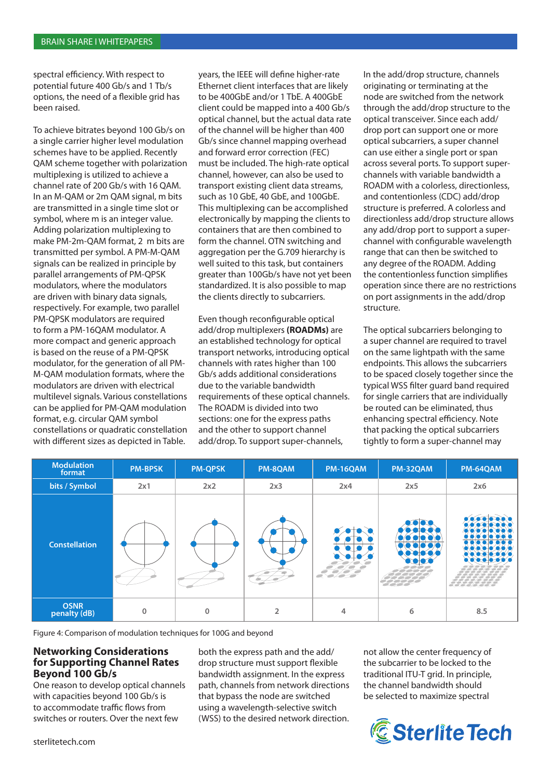**transport**

spectral efficiency. With respect to potential future 400 Gb/s and 1 Tb/s options, the need of a flexible grid has been raised. E |<br>Pino<br>Channel data<br>Channel Channel

To achieve bitrates beyond 100 Gb/s on a single carrier higher level modulation schemes have to be applied. Recently schemes have to be applied: hecemity<br>QAM scheme together with polarization multiplexing is utilized to achieve a channel rate of 200 Gb/s with 16 QAM. In an M-QAM or 2m QAM signal, m bits are transmitted in a single time slot or symbol, where m is an integer value. Adding polarization multiplexing to make PM-2m-QAM format, 2 m bits are transmitted per symbol. A PM-M-QAM signals can be realized in principle by parallel arrangements of PM-QPSK modulators, where the modulators are driven with binary data signals, respectively. For example, two parallel PM-QPSK modulators are required to form a PM-16QAM modulator. A more compact and generic approach more compact and generic approaching modulator, for the generation of all PM-M-QAM modulation formats, where the modulators are driven with electrical λ **(Ghz)** multilevel signals. Various constellations can be applied for PM-QAM modulation<br>format e.g. circular QAM symbol format, e.g. circular QAM symbol constellations or quadratic constellation with different sizes as depicted in Table.

to be 400GbE and/or 1 TbE. A 400GbE optical channel, but the actual data rate **port** of the channel will be higher than 400 years, the IEEE will define higher-rate Ethernet client interfaces that are likely and forward error correction (FEC) transport existing client data streams, This multiplexing can be accomplished structure is pret standardized. It is also possible to map operation since there are no restric **b DEPS WERE SUITED KITCH IS A SK, DUT CONTAINERS**<br>greater than 100Gb/s have not yet been well suited to this task, but containers client could be mapped into a 400 Gb/s Gb/s since channel mapping overhead must be included. The high-rate optical channel, however, can also be used to such as 10 GbE, 40 GbE, and 100GbE. electronically by mapping the clients to containers that are then combined to form the channel. OTN switching and aggregation per the G.709 hierarchy is the clients directly to subcarriers.

OTU-4

100GbE<br>100GbE 100GbE 100GbE 100GbE 100GbE 100GbE 100GbE 100GbE 100GbE 100GbE 100GbE 100GbE 100GbE 100GbE 100GbE 100G<br>100GbE 100GbE 100GbE 100GbE 100GbE 100GbE 100GbE 100GbE 100GbE 100GbE 100GbE 100GbE 100GbE 100GbE 100GbE

requirements of these optical channels. Gb/s adds additional considerations to be spa required even though reconfigurable optical The ROADM is divided into two be routed can be eliminated, thus add/drop multiplexers **(ROADMs)** are an established technology for optical transport networks, introducing optical channels with rates higher than 100 due to the variable bandwidth The ROADM is divided into two sections: one for the express paths and the other to support channel add/drop. To support super-channels,

 $1.12$   $1.12$   $1.12$   $1.12$   $1.12$   $1.12$   $1.12$   $1.12$   $1.12$   $1.12$   $1.12$   $1.12$   $1.12$   $1.12$   $1.12$   $1.12$   $1.12$   $1.12$   $1.12$   $1.12$   $1.12$   $1.12$   $1.12$   $1.12$   $1.12$   $1.12$   $1.12$   $1.12$   $1.12$   $1.12$   $1.12$   $1.1$ any degree of the ROADM. Adding the contentionless function simplifies In the add/drop structure, channels originating or terminating at the node are switched from the network through the add/drop structure to the optical transceiver. Since each add/ drop port can support one or more optical subcarriers, a super channel can use either a single port or span across several ports. To support superchannels with variable bandwidth a ROADM with a colorless, directionless, and contentionless (CDC) add/drop structure is preferred. A colorless and directionless add/drop structure allows any add/drop port to support a superchannel with configurable wavelength range that can then be switched to operation since there are no restrictions on port assignments in the add/drop structure.

> to be spaced closely together since the  $\overline{\mathbf{r}}$  for single carriers that are individually on the same lightpath with the same The optical subcarriers belonging to a super channel are required to travel endpoints. This allows the subcarriers typical WSS filter guard band required enhancing spectral efficiency. Note that packing the optical subcarriers tightly to form a super-channel may



Figure 4: Comparison of modulation techniques for 100G and beyond

#### **Networking Considerations for Supporting Channel Rates Beyond 100 Gb/s**

One reason to develop optical channels with capacities beyond 100 Gb/s is to accommodate traffic flows from switches or routers. Over the next few

both the express path and the add/ drop structure must support flexible bandwidth assignment. In the express path, channels from network directions that bypass the node are switched using a wavelength-selective switch (WSS) to the desired network direction.

not allow the center frequency of the subcarrier to be locked to the traditional ITU-T grid. In principle, the channel bandwidth should be selected to maximize spectral

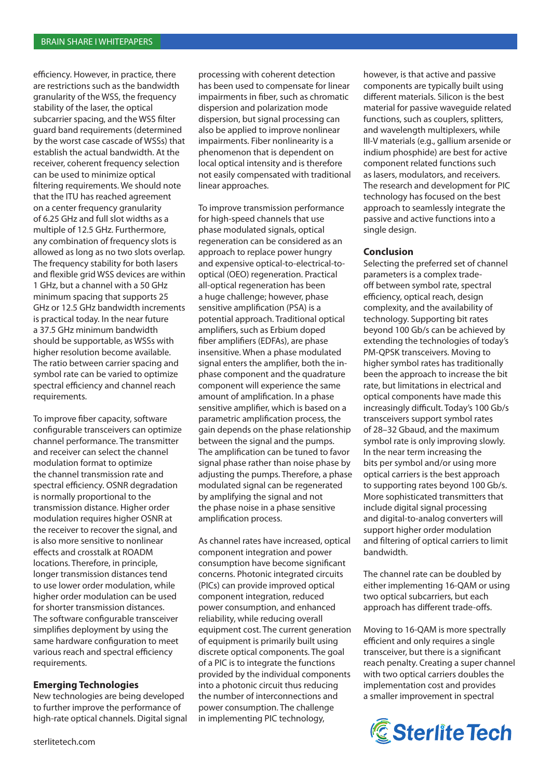efficiency. However, in practice, there are restrictions such as the bandwidth granularity of the WSS, the frequency stability of the laser, the optical subcarrier spacing, and the WSS filter guard band requirements (determined by the worst case cascade of WSSs) that establish the actual bandwidth. At the receiver, coherent frequency selection can be used to minimize optical filtering requirements. We should note that the ITU has reached agreement on a center frequency granularity of 6.25 GHz and full slot widths as a multiple of 12.5 GHz. Furthermore, any combination of frequency slots is allowed as long as no two slots overlap. The frequency stability for both lasers and flexible grid WSS devices are within 1 GHz, but a channel with a 50 GHz minimum spacing that supports 25 GHz or 12.5 GHz bandwidth increments is practical today. In the near future a 37.5 GHz minimum bandwidth should be supportable, as WSSs with higher resolution become available. The ratio between carrier spacing and symbol rate can be varied to optimize spectral efficiency and channel reach requirements.

To improve fiber capacity, software configurable transceivers can optimize channel performance. The transmitter and receiver can select the channel modulation format to optimize the channel transmission rate and spectral efficiency. OSNR degradation is normally proportional to the transmission distance. Higher order modulation requires higher OSNR at the receiver to recover the signal, and is also more sensitive to nonlinear effects and crosstalk at ROADM locations. Therefore, in principle, longer transmission distances tend to use lower order modulation, while higher order modulation can be used for shorter transmission distances. The software configurable transceiver simplifies deployment by using the same hardware configuration to meet various reach and spectral efficiency requirements.

#### **Emerging Technologies**

New technologies are being developed to further improve the performance of high-rate optical channels. Digital signal processing with coherent detection has been used to compensate for linear impairments in fiber, such as chromatic dispersion and polarization mode dispersion, but signal processing can also be applied to improve nonlinear impairments. Fiber nonlinearity is a phenomenon that is dependent on local optical intensity and is therefore not easily compensated with traditional linear approaches.

To improve transmission performance for high-speed channels that use phase modulated signals, optical regeneration can be considered as an approach to replace power hungry and expensive optical-to-electrical-tooptical (OEO) regeneration. Practical all-optical regeneration has been a huge challenge; however, phase sensitive amplification (PSA) is a potential approach. Traditional optical amplifiers, such as Erbium doped fiber amplifiers (EDFAs), are phase insensitive. When a phase modulated signal enters the amplifier, both the inphase component and the quadrature component will experience the same amount of amplification. In a phase sensitive amplifier, which is based on a parametric amplification process, the gain depends on the phase relationship between the signal and the pumps. The amplification can be tuned to favor signal phase rather than noise phase by adjusting the pumps. Therefore, a phase modulated signal can be regenerated by amplifying the signal and not the phase noise in a phase sensitive amplification process.

As channel rates have increased, optical component integration and power consumption have become significant concerns. Photonic integrated circuits (PICs) can provide improved optical component integration, reduced power consumption, and enhanced reliability, while reducing overall equipment cost. The current generation of equipment is primarily built using discrete optical components. The goal of a PIC is to integrate the functions provided by the individual components into a photonic circuit thus reducing the number of interconnections and power consumption. The challenge in implementing PIC technology,

however, is that active and passive components are typically built using different materials. Silicon is the best material for passive waveguide related functions, such as couplers, splitters, and wavelength multiplexers, while III-V materials (e.g., gallium arsenide or indium phosphide) are best for active component related functions such as lasers, modulators, and receivers. The research and development for PIC technology has focused on the best approach to seamlessly integrate the passive and active functions into a single design.

#### **Conclusion**

Selecting the preferred set of channel parameters is a complex tradeoff between symbol rate, spectral efficiency, optical reach, design complexity, and the availability of technology. Supporting bit rates beyond 100 Gb/s can be achieved by extending the technologies of today's PM-QPSK transceivers. Moving to higher symbol rates has traditionally been the approach to increase the bit rate, but limitations in electrical and optical components have made this increasingly difficult. Today's 100 Gb/s transceivers support symbol rates of 28–32 Gbaud, and the maximum symbol rate is only improving slowly. In the near term increasing the bits per symbol and/or using more optical carriers is the best approach to supporting rates beyond 100 Gb/s. More sophisticated transmitters that include digital signal processing and digital-to-analog converters will support higher order modulation and filtering of optical carriers to limit bandwidth.

The channel rate can be doubled by either implementing 16-QAM or using two optical subcarriers, but each approach has different trade-offs.

Moving to 16-QAM is more spectrally efficient and only requires a single transceiver, but there is a significant reach penalty. Creating a super channel with two optical carriers doubles the implementation cost and provides a smaller improvement in spectral